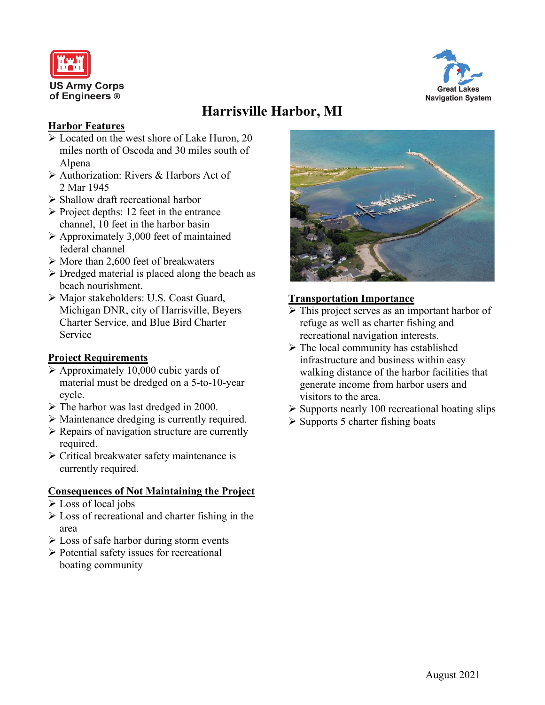



# **Harrisville Harbor, MI**

## **Harbor Features**

- Located on the west shore of Lake Huron, 20 miles north of Oscoda and 30 miles south of Alpena
- Authorization: Rivers & Harbors Act of 2 Mar 1945
- $\triangleright$  Shallow draft recreational harbor
- $\triangleright$  Project depths: 12 feet in the entrance channel, 10 feet in the harbor basin
- $\triangleright$  Approximately 3,000 feet of maintained federal channel
- $\triangleright$  More than 2,600 feet of breakwaters
- $\triangleright$  Dredged material is placed along the beach as beach nourishment.
- Major stakeholders: U.S. Coast Guard, Michigan DNR, city of Harrisville, Beyers Charter Service, and Blue Bird Charter Service

## **Project Requirements**

- $\triangleright$  Approximately 10,000 cubic yards of material must be dredged on a 5-to-10-year cycle.
- $\triangleright$  The harbor was last dredged in 2000.
- Maintenance dredging is currently required.
- $\triangleright$  Repairs of navigation structure are currently required.
- Critical breakwater safety maintenance is currently required.

## **Consequences of Not Maintaining the Project**

- $\triangleright$  Loss of local jobs
- $\triangleright$  Loss of recreational and charter fishing in the area
- $\triangleright$  Loss of safe harbor during storm events
- $\triangleright$  Potential safety issues for recreational boating community



## **Transportation Importance**

- This project serves as an important harbor of refuge as well as charter fishing and recreational navigation interests.
- $\triangleright$  The local community has established infrastructure and business within easy walking distance of the harbor facilities that generate income from harbor users and visitors to the area.
- $\triangleright$  Supports nearly 100 recreational boating slips
- $\triangleright$  Supports 5 charter fishing boats